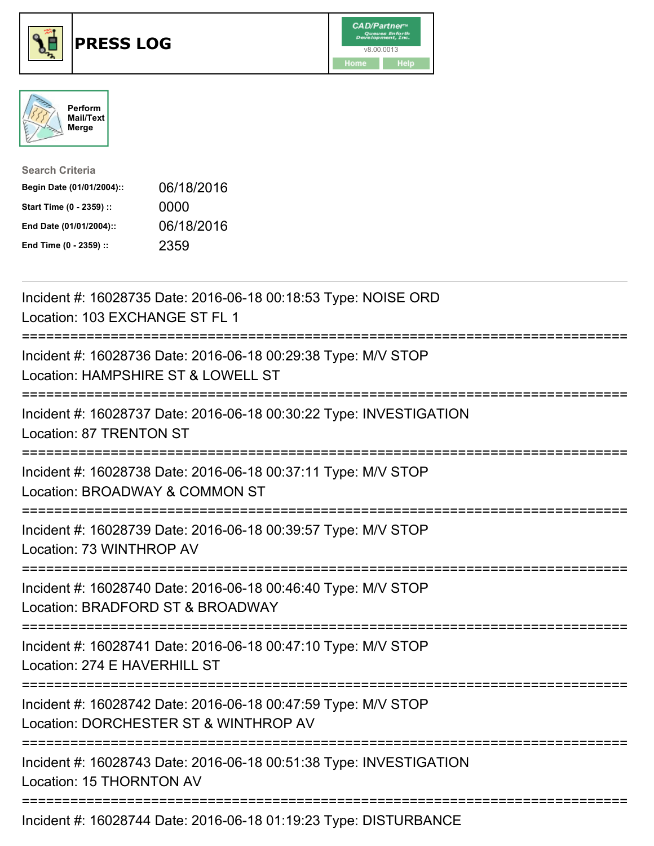





| <b>Search Criteria</b>    |            |
|---------------------------|------------|
| Begin Date (01/01/2004):: | 06/18/2016 |
| Start Time (0 - 2359) ::  | 0000       |
| End Date (01/01/2004)::   | 06/18/2016 |
| End Time (0 - 2359) ::    | 2359       |

| Incident #: 16028735 Date: 2016-06-18 00:18:53 Type: NOISE ORD<br>Location: 103 EXCHANGE ST FL 1       |
|--------------------------------------------------------------------------------------------------------|
| Incident #: 16028736 Date: 2016-06-18 00:29:38 Type: M/V STOP<br>Location: HAMPSHIRE ST & LOWELL ST    |
| Incident #: 16028737 Date: 2016-06-18 00:30:22 Type: INVESTIGATION<br>Location: 87 TRENTON ST          |
| Incident #: 16028738 Date: 2016-06-18 00:37:11 Type: M/V STOP<br>Location: BROADWAY & COMMON ST        |
| Incident #: 16028739 Date: 2016-06-18 00:39:57 Type: M/V STOP<br>Location: 73 WINTHROP AV              |
| Incident #: 16028740 Date: 2016-06-18 00:46:40 Type: M/V STOP<br>Location: BRADFORD ST & BROADWAY      |
| Incident #: 16028741 Date: 2016-06-18 00:47:10 Type: M/V STOP<br>Location: 274 E HAVERHILL ST          |
| Incident #: 16028742 Date: 2016-06-18 00:47:59 Type: M/V STOP<br>Location: DORCHESTER ST & WINTHROP AV |
| Incident #: 16028743 Date: 2016-06-18 00:51:38 Type: INVESTIGATION<br>Location: 15 THORNTON AV         |
|                                                                                                        |

Incident #: 16028744 Date: 2016-06-18 01:19:23 Type: DISTURBANCE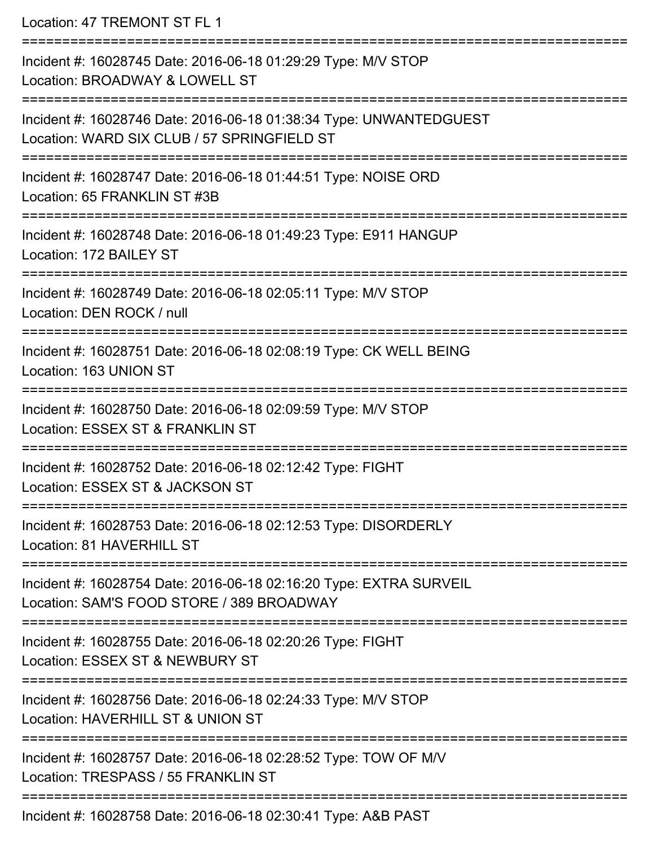Location: 47 TREMONT ST FL 1

| Incident #: 16028745 Date: 2016-06-18 01:29:29 Type: M/V STOP<br>Location: BROADWAY & LOWELL ST                   |
|-------------------------------------------------------------------------------------------------------------------|
| Incident #: 16028746 Date: 2016-06-18 01:38:34 Type: UNWANTEDGUEST<br>Location: WARD SIX CLUB / 57 SPRINGFIELD ST |
| Incident #: 16028747 Date: 2016-06-18 01:44:51 Type: NOISE ORD<br>Location: 65 FRANKLIN ST #3B                    |
| Incident #: 16028748 Date: 2016-06-18 01:49:23 Type: E911 HANGUP<br>Location: 172 BAILEY ST                       |
| Incident #: 16028749 Date: 2016-06-18 02:05:11 Type: M/V STOP<br>Location: DEN ROCK / null                        |
| Incident #: 16028751 Date: 2016-06-18 02:08:19 Type: CK WELL BEING<br>Location: 163 UNION ST                      |
| Incident #: 16028750 Date: 2016-06-18 02:09:59 Type: M/V STOP<br>Location: ESSEX ST & FRANKLIN ST                 |
| Incident #: 16028752 Date: 2016-06-18 02:12:42 Type: FIGHT<br>Location: ESSEX ST & JACKSON ST                     |
| Incident #: 16028753 Date: 2016-06-18 02:12:53 Type: DISORDERLY<br>Location: 81 HAVERHILL ST                      |
| Incident #: 16028754 Date: 2016-06-18 02:16:20 Type: EXTRA SURVEIL<br>Location: SAM'S FOOD STORE / 389 BROADWAY   |
| Incident #: 16028755 Date: 2016-06-18 02:20:26 Type: FIGHT<br>Location: ESSEX ST & NEWBURY ST                     |
| Incident #: 16028756 Date: 2016-06-18 02:24:33 Type: M/V STOP<br>Location: HAVERHILL ST & UNION ST                |
| Incident #: 16028757 Date: 2016-06-18 02:28:52 Type: TOW OF M/V<br>Location: TRESPASS / 55 FRANKLIN ST            |
| Incident #: 16028758 Date: 2016-06-18 02:30:41 Type: A&B PAST                                                     |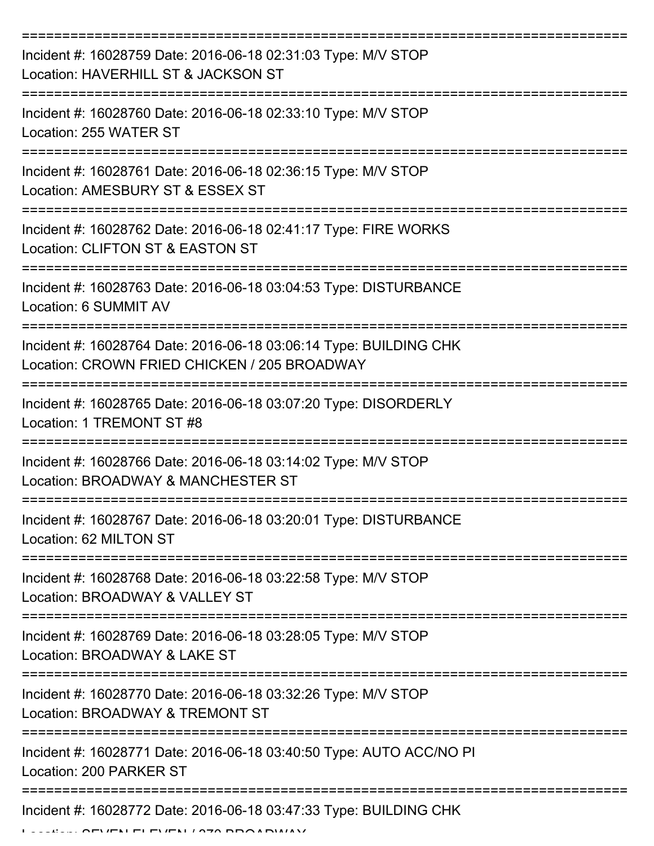| Incident #: 16028759 Date: 2016-06-18 02:31:03 Type: M/V STOP<br>Location: HAVERHILL ST & JACKSON ST              |
|-------------------------------------------------------------------------------------------------------------------|
| Incident #: 16028760 Date: 2016-06-18 02:33:10 Type: M/V STOP<br>Location: 255 WATER ST                           |
| Incident #: 16028761 Date: 2016-06-18 02:36:15 Type: M/V STOP<br>Location: AMESBURY ST & ESSEX ST                 |
| Incident #: 16028762 Date: 2016-06-18 02:41:17 Type: FIRE WORKS<br>Location: CLIFTON ST & EASTON ST               |
| Incident #: 16028763 Date: 2016-06-18 03:04:53 Type: DISTURBANCE<br>Location: 6 SUMMIT AV                         |
| Incident #: 16028764 Date: 2016-06-18 03:06:14 Type: BUILDING CHK<br>Location: CROWN FRIED CHICKEN / 205 BROADWAY |
| Incident #: 16028765 Date: 2016-06-18 03:07:20 Type: DISORDERLY<br>Location: 1 TREMONT ST #8                      |
| Incident #: 16028766 Date: 2016-06-18 03:14:02 Type: M/V STOP<br>Location: BROADWAY & MANCHESTER ST               |
| Incident #: 16028767 Date: 2016-06-18 03:20:01 Type: DISTURBANCE<br>Location: 62 MILTON ST                        |
| Incident #: 16028768 Date: 2016-06-18 03:22:58 Type: M/V STOP<br>Location: BROADWAY & VALLEY ST                   |
| Incident #: 16028769 Date: 2016-06-18 03:28:05 Type: M/V STOP<br>Location: BROADWAY & LAKE ST                     |
| Incident #: 16028770 Date: 2016-06-18 03:32:26 Type: M/V STOP<br>Location: BROADWAY & TREMONT ST                  |
| Incident #: 16028771 Date: 2016-06-18 03:40:50 Type: AUTO ACC/NO PI<br>Location: 200 PARKER ST                    |
| Incident #: 16028772 Date: 2016-06-18 03:47:33 Type: BUILDING CHK                                                 |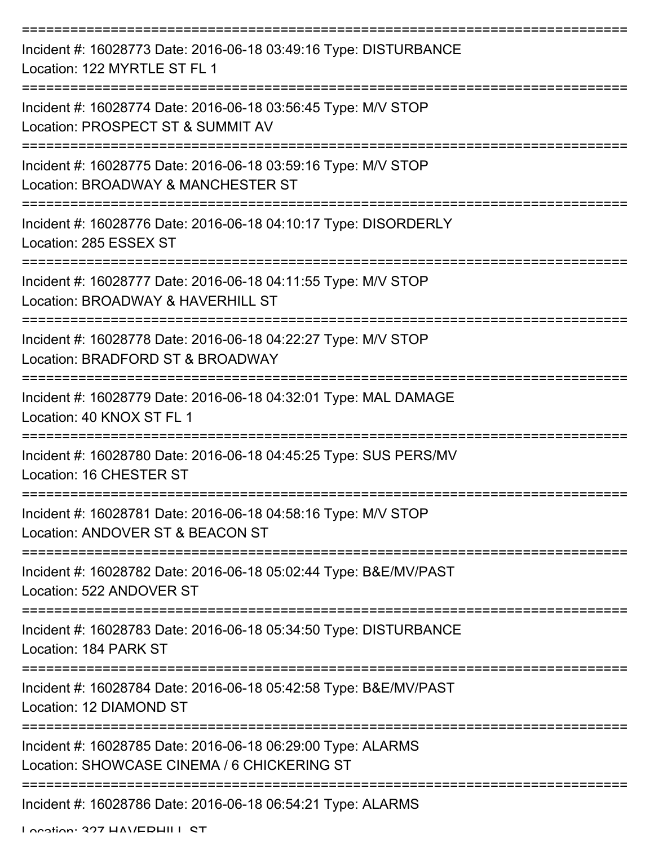| Incident #: 16028773 Date: 2016-06-18 03:49:16 Type: DISTURBANCE<br>Location: 122 MYRTLE ST FL 1           |
|------------------------------------------------------------------------------------------------------------|
| Incident #: 16028774 Date: 2016-06-18 03:56:45 Type: M/V STOP<br>Location: PROSPECT ST & SUMMIT AV         |
| Incident #: 16028775 Date: 2016-06-18 03:59:16 Type: M/V STOP<br>Location: BROADWAY & MANCHESTER ST        |
| Incident #: 16028776 Date: 2016-06-18 04:10:17 Type: DISORDERLY<br>Location: 285 ESSEX ST                  |
| Incident #: 16028777 Date: 2016-06-18 04:11:55 Type: M/V STOP<br>Location: BROADWAY & HAVERHILL ST         |
| Incident #: 16028778 Date: 2016-06-18 04:22:27 Type: M/V STOP<br>Location: BRADFORD ST & BROADWAY          |
| Incident #: 16028779 Date: 2016-06-18 04:32:01 Type: MAL DAMAGE<br>Location: 40 KNOX ST FL 1               |
| Incident #: 16028780 Date: 2016-06-18 04:45:25 Type: SUS PERS/MV<br>Location: 16 CHESTER ST                |
| Incident #: 16028781 Date: 2016-06-18 04:58:16 Type: M/V STOP<br>Location: ANDOVER ST & BEACON ST          |
| Incident #: 16028782 Date: 2016-06-18 05:02:44 Type: B&E/MV/PAST<br>Location: 522 ANDOVER ST               |
| Incident #: 16028783 Date: 2016-06-18 05:34:50 Type: DISTURBANCE<br>Location: 184 PARK ST                  |
| Incident #: 16028784 Date: 2016-06-18 05:42:58 Type: B&E/MV/PAST<br>Location: 12 DIAMOND ST                |
| Incident #: 16028785 Date: 2016-06-18 06:29:00 Type: ALARMS<br>Location: SHOWCASE CINEMA / 6 CHICKERING ST |
| Incident #: 16028786 Date: 2016-06-18 06:54:21 Type: ALARMS                                                |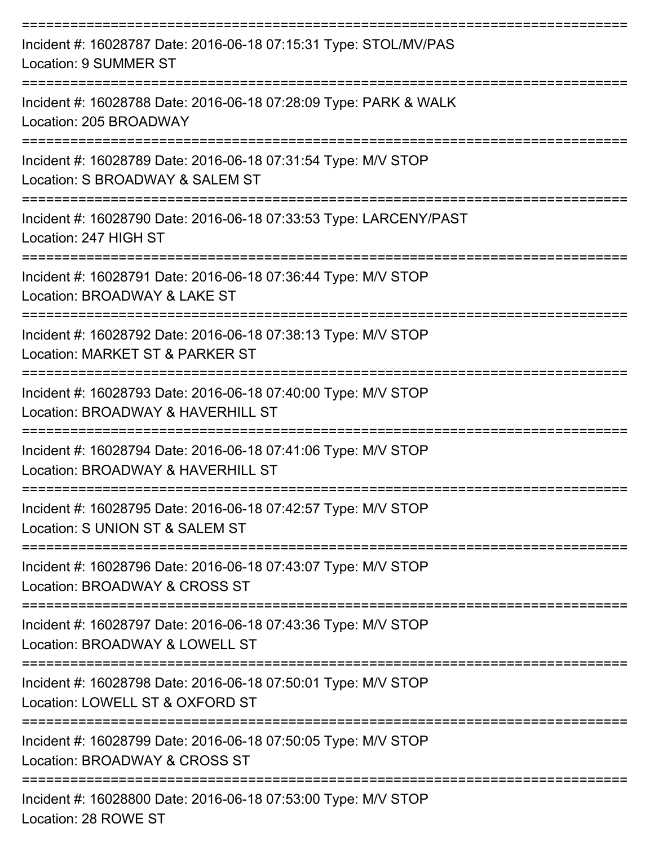| Incident #: 16028787 Date: 2016-06-18 07:15:31 Type: STOL/MV/PAS<br>Location: 9 SUMMER ST          |
|----------------------------------------------------------------------------------------------------|
| Incident #: 16028788 Date: 2016-06-18 07:28:09 Type: PARK & WALK<br>Location: 205 BROADWAY         |
| Incident #: 16028789 Date: 2016-06-18 07:31:54 Type: M/V STOP<br>Location: S BROADWAY & SALEM ST   |
| Incident #: 16028790 Date: 2016-06-18 07:33:53 Type: LARCENY/PAST<br>Location: 247 HIGH ST         |
| Incident #: 16028791 Date: 2016-06-18 07:36:44 Type: M/V STOP<br>Location: BROADWAY & LAKE ST      |
| Incident #: 16028792 Date: 2016-06-18 07:38:13 Type: M/V STOP<br>Location: MARKET ST & PARKER ST   |
| Incident #: 16028793 Date: 2016-06-18 07:40:00 Type: M/V STOP<br>Location: BROADWAY & HAVERHILL ST |
| Incident #: 16028794 Date: 2016-06-18 07:41:06 Type: M/V STOP<br>Location: BROADWAY & HAVERHILL ST |
| Incident #: 16028795 Date: 2016-06-18 07:42:57 Type: M/V STOP<br>Location: S UNION ST & SALEM ST   |
| Incident #: 16028796 Date: 2016-06-18 07:43:07 Type: M/V STOP<br>Location: BROADWAY & CROSS ST     |
| Incident #: 16028797 Date: 2016-06-18 07:43:36 Type: M/V STOP<br>Location: BROADWAY & LOWELL ST    |
| Incident #: 16028798 Date: 2016-06-18 07:50:01 Type: M/V STOP<br>Location: LOWELL ST & OXFORD ST   |
| Incident #: 16028799 Date: 2016-06-18 07:50:05 Type: M/V STOP<br>Location: BROADWAY & CROSS ST     |
| Incident #: 16028800 Date: 2016-06-18 07:53:00 Type: M/V STOP                                      |

Location: 28 ROWE ST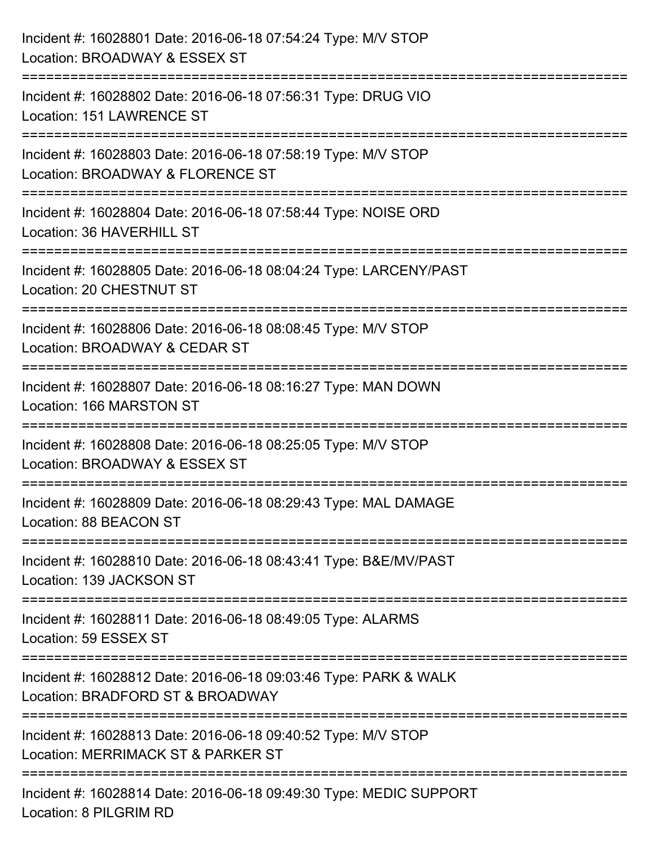| Incident #: 16028801 Date: 2016-06-18 07:54:24 Type: M/V STOP<br>Location: BROADWAY & ESSEX ST                      |
|---------------------------------------------------------------------------------------------------------------------|
| Incident #: 16028802 Date: 2016-06-18 07:56:31 Type: DRUG VIO<br>Location: 151 LAWRENCE ST                          |
| Incident #: 16028803 Date: 2016-06-18 07:58:19 Type: M/V STOP<br>Location: BROADWAY & FLORENCE ST                   |
| ====================<br>Incident #: 16028804 Date: 2016-06-18 07:58:44 Type: NOISE ORD<br>Location: 36 HAVERHILL ST |
| Incident #: 16028805 Date: 2016-06-18 08:04:24 Type: LARCENY/PAST<br>Location: 20 CHESTNUT ST                       |
| Incident #: 16028806 Date: 2016-06-18 08:08:45 Type: M/V STOP<br>Location: BROADWAY & CEDAR ST                      |
| Incident #: 16028807 Date: 2016-06-18 08:16:27 Type: MAN DOWN<br>Location: 166 MARSTON ST                           |
| Incident #: 16028808 Date: 2016-06-18 08:25:05 Type: M/V STOP<br>Location: BROADWAY & ESSEX ST                      |
| Incident #: 16028809 Date: 2016-06-18 08:29:43 Type: MAL DAMAGE<br>Location: 88 BEACON ST                           |
| Incident #: 16028810 Date: 2016-06-18 08:43:41 Type: B&E/MV/PAST<br>Location: 139 JACKSON ST                        |
| Incident #: 16028811 Date: 2016-06-18 08:49:05 Type: ALARMS<br>Location: 59 ESSEX ST                                |
| Incident #: 16028812 Date: 2016-06-18 09:03:46 Type: PARK & WALK<br>Location: BRADFORD ST & BROADWAY                |
| Incident #: 16028813 Date: 2016-06-18 09:40:52 Type: M/V STOP<br>Location: MERRIMACK ST & PARKER ST                 |
| Incident #: 16028814 Date: 2016-06-18 09:49:30 Type: MEDIC SUPPORT<br>Location: 8 PILGRIM RD                        |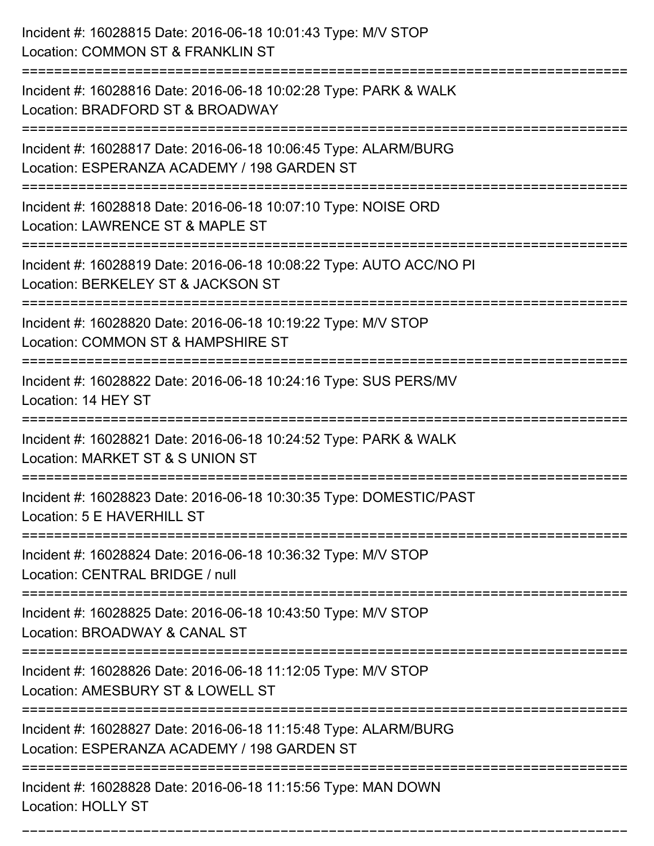| Incident #: 16028815 Date: 2016-06-18 10:01:43 Type: M/V STOP<br>Location: COMMON ST & FRANKLIN ST                                       |
|------------------------------------------------------------------------------------------------------------------------------------------|
| Incident #: 16028816 Date: 2016-06-18 10:02:28 Type: PARK & WALK<br>Location: BRADFORD ST & BROADWAY                                     |
| Incident #: 16028817 Date: 2016-06-18 10:06:45 Type: ALARM/BURG<br>Location: ESPERANZA ACADEMY / 198 GARDEN ST<br>=================      |
| Incident #: 16028818 Date: 2016-06-18 10:07:10 Type: NOISE ORD<br>Location: LAWRENCE ST & MAPLE ST                                       |
| Incident #: 16028819 Date: 2016-06-18 10:08:22 Type: AUTO ACC/NO PI<br>Location: BERKELEY ST & JACKSON ST                                |
| Incident #: 16028820 Date: 2016-06-18 10:19:22 Type: M/V STOP<br>Location: COMMON ST & HAMPSHIRE ST                                      |
| Incident #: 16028822 Date: 2016-06-18 10:24:16 Type: SUS PERS/MV<br>Location: 14 HEY ST                                                  |
| Incident #: 16028821 Date: 2016-06-18 10:24:52 Type: PARK & WALK<br>Location: MARKET ST & S UNION ST                                     |
| Incident #: 16028823 Date: 2016-06-18 10:30:35 Type: DOMESTIC/PAST<br>Location: 5 E HAVERHILL ST                                         |
| Incident #: 16028824 Date: 2016-06-18 10:36:32 Type: M/V STOP<br>Location: CENTRAL BRIDGE / null                                         |
| ======================================<br>Incident #: 16028825 Date: 2016-06-18 10:43:50 Type: M/V STOP<br>Location: BROADWAY & CANAL ST |
| Incident #: 16028826 Date: 2016-06-18 11:12:05 Type: M/V STOP<br>Location: AMESBURY ST & LOWELL ST                                       |
| Incident #: 16028827 Date: 2016-06-18 11:15:48 Type: ALARM/BURG<br>Location: ESPERANZA ACADEMY / 198 GARDEN ST                           |
| Incident #: 16028828 Date: 2016-06-18 11:15:56 Type: MAN DOWN<br><b>Location: HOLLY ST</b>                                               |

===========================================================================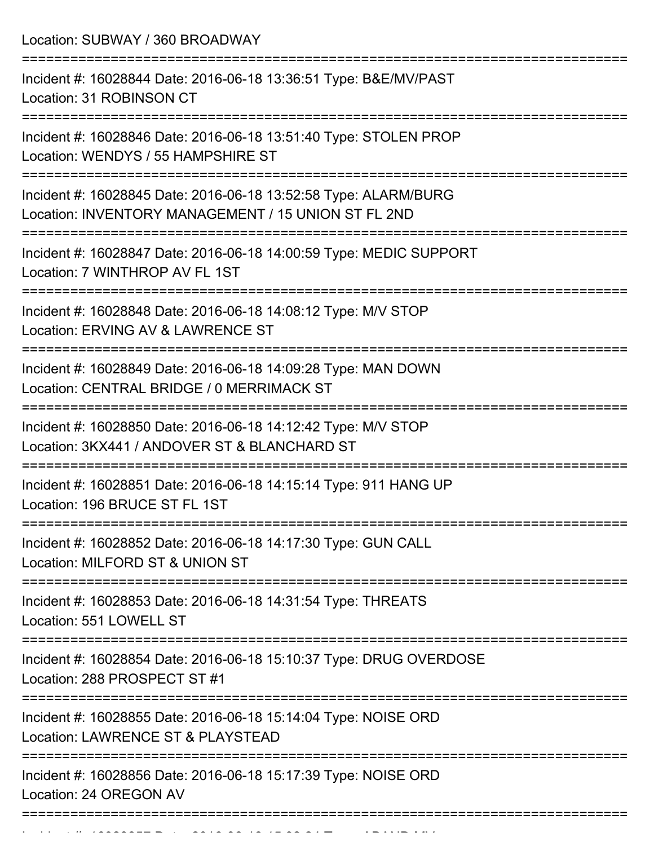Location: SUBWAY / 360 BROADWAY =========================================================================== Incident #: 16028844 Date: 2016-06-18 13:36:51 Type: B&E/MV/PAST Location: 31 ROBINSON CT =========================================================================== Incident #: 16028846 Date: 2016-06-18 13:51:40 Type: STOLEN PROP Location: WENDYS / 55 HAMPSHIRE ST =========================================================================== Incident #: 16028845 Date: 2016-06-18 13:52:58 Type: ALARM/BURG Location: INVENTORY MANAGEMENT / 15 UNION ST FL 2ND =========================================================================== Incident #: 16028847 Date: 2016-06-18 14:00:59 Type: MEDIC SUPPORT Location: 7 WINTHROP AV FL 1ST =========================================================================== Incident #: 16028848 Date: 2016-06-18 14:08:12 Type: M/V STOP Location: ERVING AV & LAWRENCE ST =========================================================================== Incident #: 16028849 Date: 2016-06-18 14:09:28 Type: MAN DOWN Location: CENTRAL BRIDGE / 0 MERRIMACK ST =========================================================================== Incident #: 16028850 Date: 2016-06-18 14:12:42 Type: M/V STOP Location: 3KX441 / ANDOVER ST & BLANCHARD ST =========================================================================== Incident #: 16028851 Date: 2016-06-18 14:15:14 Type: 911 HANG UP Location: 196 BRUCE ST FL 1ST =========================================================================== Incident #: 16028852 Date: 2016-06-18 14:17:30 Type: GUN CALL Location: MILFORD ST & UNION ST =========================================================================== Incident #: 16028853 Date: 2016-06-18 14:31:54 Type: THREATS Location: 551 LOWELL ST =========================================================================== Incident #: 16028854 Date: 2016-06-18 15:10:37 Type: DRUG OVERDOSE Location: 288 PROSPECT ST #1 =========================================================================== Incident #: 16028855 Date: 2016-06-18 15:14:04 Type: NOISE ORD Location: LAWRENCE ST & PLAYSTEAD =========================================================================== Incident #: 16028856 Date: 2016-06-18 15:17:39 Type: NOISE ORD Location: 24 OREGON AV ===========================================================================

Incident #: 16028857 Date: 2016 06 16028857 Date: 2016 07:32:24<br>.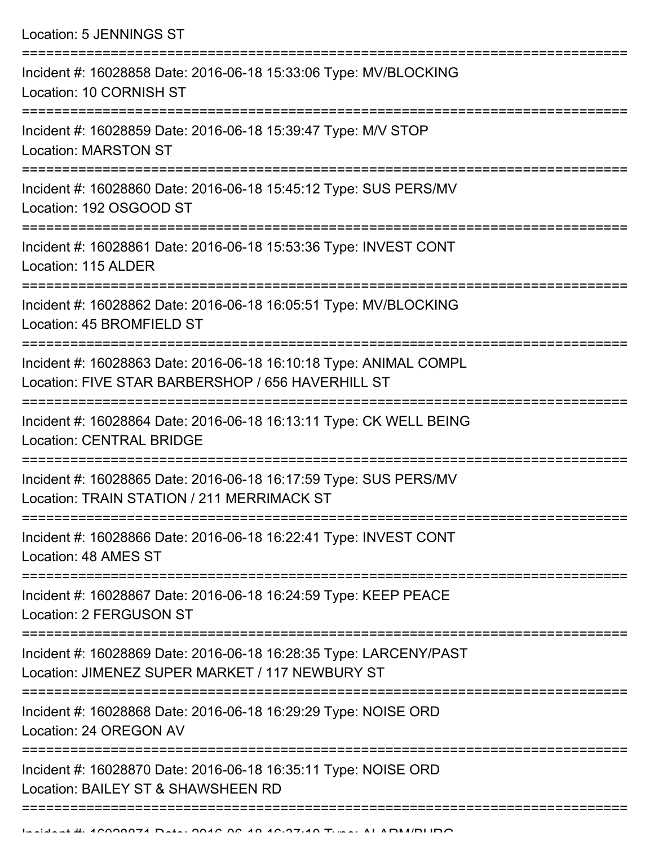| Location: 5 JENNINGS ST                                                                                                |
|------------------------------------------------------------------------------------------------------------------------|
| Incident #: 16028858 Date: 2016-06-18 15:33:06 Type: MV/BLOCKING<br>Location: 10 CORNISH ST                            |
| Incident #: 16028859 Date: 2016-06-18 15:39:47 Type: M/V STOP<br><b>Location: MARSTON ST</b>                           |
| Incident #: 16028860 Date: 2016-06-18 15:45:12 Type: SUS PERS/MV<br>Location: 192 OSGOOD ST                            |
| Incident #: 16028861 Date: 2016-06-18 15:53:36 Type: INVEST CONT<br>Location: 115 ALDER                                |
| Incident #: 16028862 Date: 2016-06-18 16:05:51 Type: MV/BLOCKING<br>Location: 45 BROMFIELD ST                          |
| Incident #: 16028863 Date: 2016-06-18 16:10:18 Type: ANIMAL COMPL<br>Location: FIVE STAR BARBERSHOP / 656 HAVERHILL ST |
| Incident #: 16028864 Date: 2016-06-18 16:13:11 Type: CK WELL BEING<br><b>Location: CENTRAL BRIDGE</b>                  |
| Incident #: 16028865 Date: 2016-06-18 16:17:59 Type: SUS PERS/MV<br>Location: TRAIN STATION / 211 MERRIMACK ST         |
| Incident #: 16028866 Date: 2016-06-18 16:22:41 Type: INVEST CONT<br>Location: 48 AMES ST                               |
| Incident #: 16028867 Date: 2016-06-18 16:24:59 Type: KEEP PEACE<br><b>Location: 2 FERGUSON ST</b>                      |
| Incident #: 16028869 Date: 2016-06-18 16:28:35 Type: LARCENY/PAST<br>Location: JIMENEZ SUPER MARKET / 117 NEWBURY ST   |
| Incident #: 16028868 Date: 2016-06-18 16:29:29 Type: NOISE ORD<br>Location: 24 OREGON AV                               |
| Incident #: 16028870 Date: 2016-06-18 16:35:11 Type: NOISE ORD<br>Location: BAILEY ST & SHAWSHEEN RD                   |
|                                                                                                                        |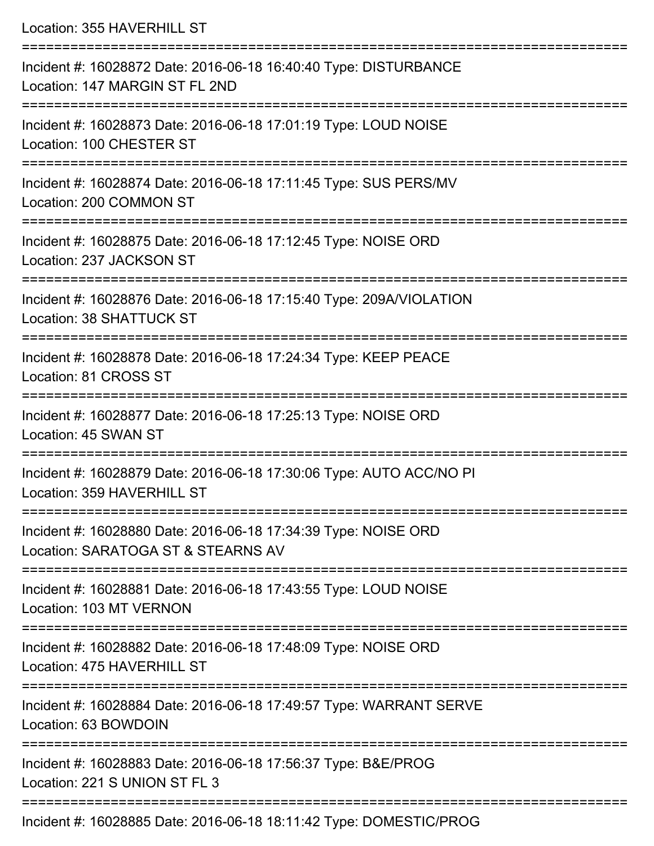Location: 355 HAVERHILL ST =========================================================================== Incident #: 16028872 Date: 2016-06-18 16:40:40 Type: DISTURBANCE Location: 147 MARGIN ST FL 2ND =========================================================================== Incident #: 16028873 Date: 2016-06-18 17:01:19 Type: LOUD NOISE Location: 100 CHESTER ST =========================================================================== Incident #: 16028874 Date: 2016-06-18 17:11:45 Type: SUS PERS/MV Location: 200 COMMON ST =========================================================================== Incident #: 16028875 Date: 2016-06-18 17:12:45 Type: NOISE ORD Location: 237 JACKSON ST =========================================================================== Incident #: 16028876 Date: 2016-06-18 17:15:40 Type: 209A/VIOLATION Location: 38 SHATTUCK ST =========================================================================== Incident #: 16028878 Date: 2016-06-18 17:24:34 Type: KEEP PEACE Location: 81 CROSS ST =========================================================================== Incident #: 16028877 Date: 2016-06-18 17:25:13 Type: NOISE ORD Location: 45 SWAN ST =========================================================================== Incident #: 16028879 Date: 2016-06-18 17:30:06 Type: AUTO ACC/NO PI Location: 359 HAVERHILL ST =========================================================================== Incident #: 16028880 Date: 2016-06-18 17:34:39 Type: NOISE ORD Location: SARATOGA ST & STEARNS AV =========================================================================== Incident #: 16028881 Date: 2016-06-18 17:43:55 Type: LOUD NOISE Location: 103 MT VERNON =========================================================================== Incident #: 16028882 Date: 2016-06-18 17:48:09 Type: NOISE ORD Location: 475 HAVERHILL ST =========================================================================== Incident #: 16028884 Date: 2016-06-18 17:49:57 Type: WARRANT SERVE Location: 63 BOWDOIN =========================================================================== Incident #: 16028883 Date: 2016-06-18 17:56:37 Type: B&E/PROG Location: 221 S UNION ST FL 3 ===========================================================================

Incident #: 16028885 Date: 2016-06-18 18:11:42 Type: DOMESTIC/PROG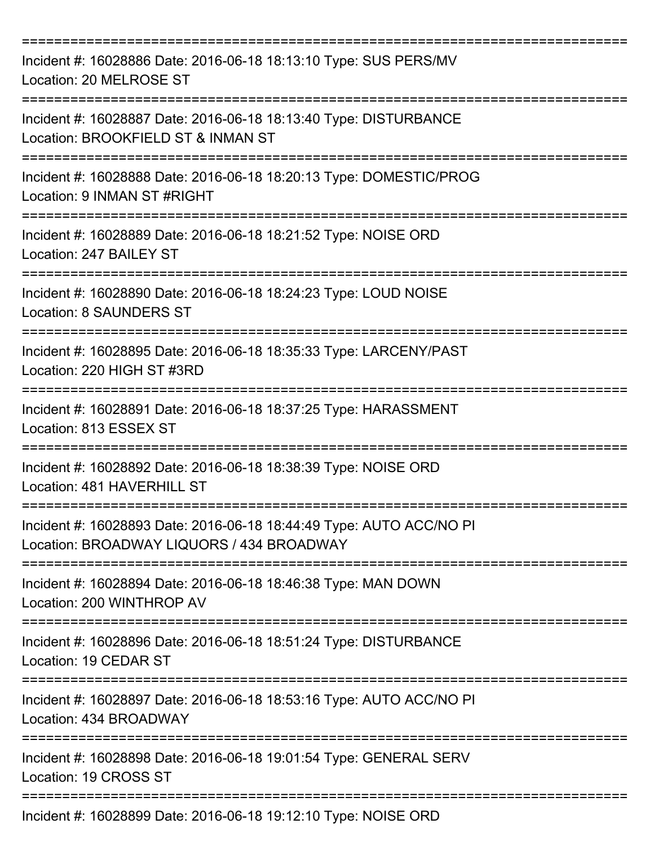| Incident #: 16028886 Date: 2016-06-18 18:13:10 Type: SUS PERS/MV<br>Location: 20 MELROSE ST                      |
|------------------------------------------------------------------------------------------------------------------|
| Incident #: 16028887 Date: 2016-06-18 18:13:40 Type: DISTURBANCE<br>Location: BROOKFIELD ST & INMAN ST           |
| Incident #: 16028888 Date: 2016-06-18 18:20:13 Type: DOMESTIC/PROG<br>Location: 9 INMAN ST #RIGHT                |
| Incident #: 16028889 Date: 2016-06-18 18:21:52 Type: NOISE ORD<br>Location: 247 BAILEY ST                        |
| Incident #: 16028890 Date: 2016-06-18 18:24:23 Type: LOUD NOISE<br><b>Location: 8 SAUNDERS ST</b>                |
| Incident #: 16028895 Date: 2016-06-18 18:35:33 Type: LARCENY/PAST<br>Location: 220 HIGH ST #3RD                  |
| Incident #: 16028891 Date: 2016-06-18 18:37:25 Type: HARASSMENT<br>Location: 813 ESSEX ST                        |
| Incident #: 16028892 Date: 2016-06-18 18:38:39 Type: NOISE ORD<br>Location: 481 HAVERHILL ST                     |
| Incident #: 16028893 Date: 2016-06-18 18:44:49 Type: AUTO ACC/NO PI<br>Location: BROADWAY LIQUORS / 434 BROADWAY |
| Incident #: 16028894 Date: 2016-06-18 18:46:38 Type: MAN DOWN<br>Location: 200 WINTHROP AV                       |
| Incident #: 16028896 Date: 2016-06-18 18:51:24 Type: DISTURBANCE<br>Location: 19 CEDAR ST                        |
| Incident #: 16028897 Date: 2016-06-18 18:53:16 Type: AUTO ACC/NO PI<br>Location: 434 BROADWAY                    |
| Incident #: 16028898 Date: 2016-06-18 19:01:54 Type: GENERAL SERV<br>Location: 19 CROSS ST                       |
| Incident #: 16028899 Date: 2016-06-18 19:12:10 Type: NOISE ORD                                                   |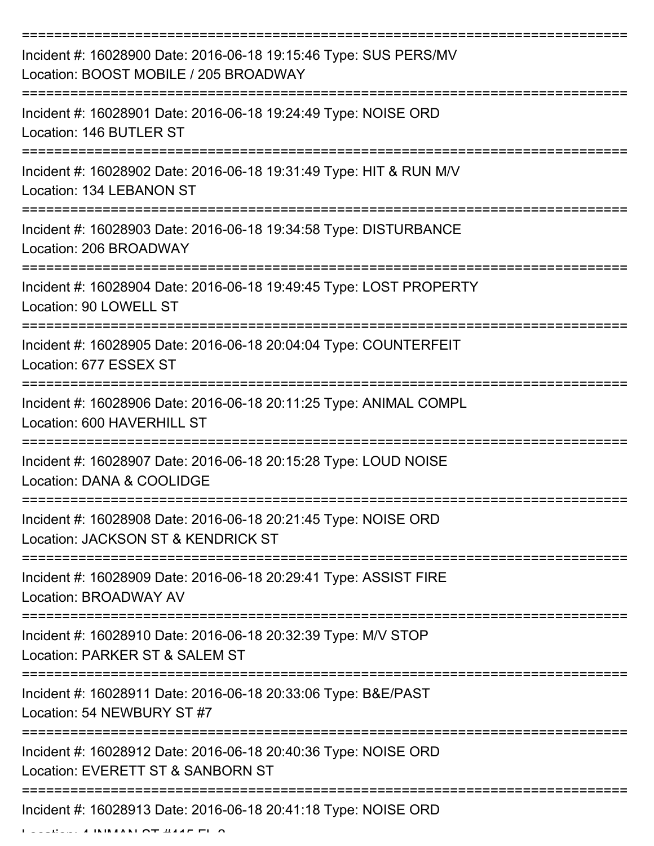| Incident #: 16028900 Date: 2016-06-18 19:15:46 Type: SUS PERS/MV<br>Location: BOOST MOBILE / 205 BROADWAY |
|-----------------------------------------------------------------------------------------------------------|
| Incident #: 16028901 Date: 2016-06-18 19:24:49 Type: NOISE ORD<br>Location: 146 BUTLER ST                 |
| Incident #: 16028902 Date: 2016-06-18 19:31:49 Type: HIT & RUN M/V<br>Location: 134 LEBANON ST            |
| Incident #: 16028903 Date: 2016-06-18 19:34:58 Type: DISTURBANCE<br>Location: 206 BROADWAY                |
| Incident #: 16028904 Date: 2016-06-18 19:49:45 Type: LOST PROPERTY<br>Location: 90 LOWELL ST              |
| Incident #: 16028905 Date: 2016-06-18 20:04:04 Type: COUNTERFEIT<br>Location: 677 ESSEX ST                |
| Incident #: 16028906 Date: 2016-06-18 20:11:25 Type: ANIMAL COMPL<br>Location: 600 HAVERHILL ST           |
| Incident #: 16028907 Date: 2016-06-18 20:15:28 Type: LOUD NOISE<br>Location: DANA & COOLIDGE              |
| Incident #: 16028908 Date: 2016-06-18 20:21:45 Type: NOISE ORD<br>Location: JACKSON ST & KENDRICK ST      |
| Incident #: 16028909 Date: 2016-06-18 20:29:41 Type: ASSIST FIRE<br>Location: BROADWAY AV                 |
| Incident #: 16028910 Date: 2016-06-18 20:32:39 Type: M/V STOP<br>Location: PARKER ST & SALEM ST           |
| Incident #: 16028911 Date: 2016-06-18 20:33:06 Type: B&E/PAST<br>Location: 54 NEWBURY ST #7               |
| Incident #: 16028912 Date: 2016-06-18 20:40:36 Type: NOISE ORD<br>Location: EVERETT ST & SANBORN ST       |
| Incident #: 16028913 Date: 2016-06-18 20:41:18 Type: NOISE ORD                                            |

 $L = L L L L$ . 4 INMANNI OT #44F FL Q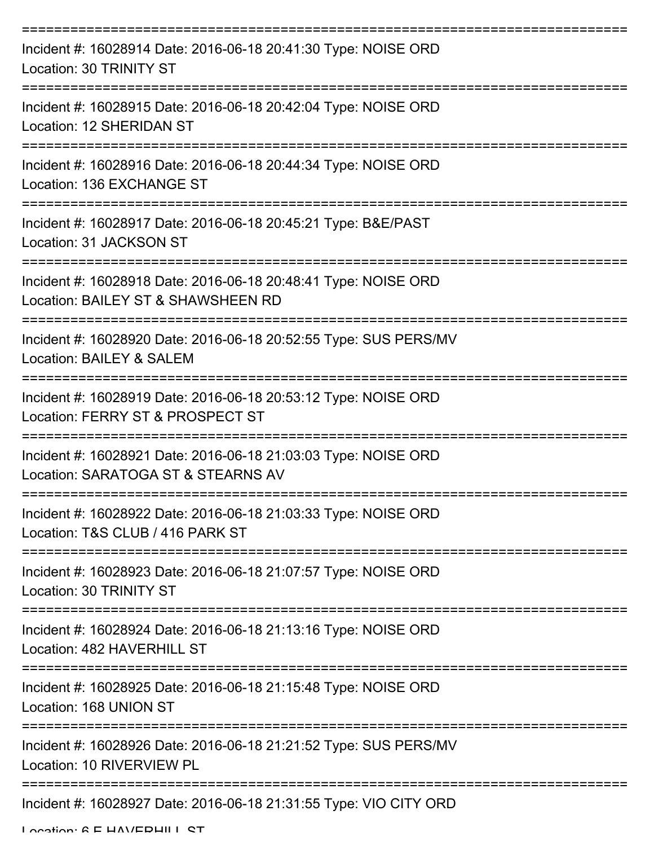| Incident #: 16028914 Date: 2016-06-18 20:41:30 Type: NOISE ORD<br>Location: 30 TRINITY ST                                         |
|-----------------------------------------------------------------------------------------------------------------------------------|
| Incident #: 16028915 Date: 2016-06-18 20:42:04 Type: NOISE ORD<br>Location: 12 SHERIDAN ST                                        |
| Incident #: 16028916 Date: 2016-06-18 20:44:34 Type: NOISE ORD<br>Location: 136 EXCHANGE ST                                       |
| Incident #: 16028917 Date: 2016-06-18 20:45:21 Type: B&E/PAST<br>Location: 31 JACKSON ST                                          |
| =========================<br>Incident #: 16028918 Date: 2016-06-18 20:48:41 Type: NOISE ORD<br>Location: BAILEY ST & SHAWSHEEN RD |
| Incident #: 16028920 Date: 2016-06-18 20:52:55 Type: SUS PERS/MV<br>Location: BAILEY & SALEM                                      |
| Incident #: 16028919 Date: 2016-06-18 20:53:12 Type: NOISE ORD<br>Location: FERRY ST & PROSPECT ST                                |
| Incident #: 16028921 Date: 2016-06-18 21:03:03 Type: NOISE ORD<br>Location: SARATOGA ST & STEARNS AV                              |
| Incident #: 16028922 Date: 2016-06-18 21:03:33 Type: NOISE ORD<br>Location: T&S CLUB / 416 PARK ST                                |
| Incident #: 16028923 Date: 2016-06-18 21:07:57 Type: NOISE ORD<br>Location: 30 TRINITY ST                                         |
| Incident #: 16028924 Date: 2016-06-18 21:13:16 Type: NOISE ORD<br>Location: 482 HAVERHILL ST                                      |
| Incident #: 16028925 Date: 2016-06-18 21:15:48 Type: NOISE ORD<br>Location: 168 UNION ST                                          |
| Incident #: 16028926 Date: 2016-06-18 21:21:52 Type: SUS PERS/MV<br>Location: 10 RIVERVIEW PL                                     |
| Incident #: 16028927 Date: 2016-06-18 21:31:55 Type: VIO CITY ORD                                                                 |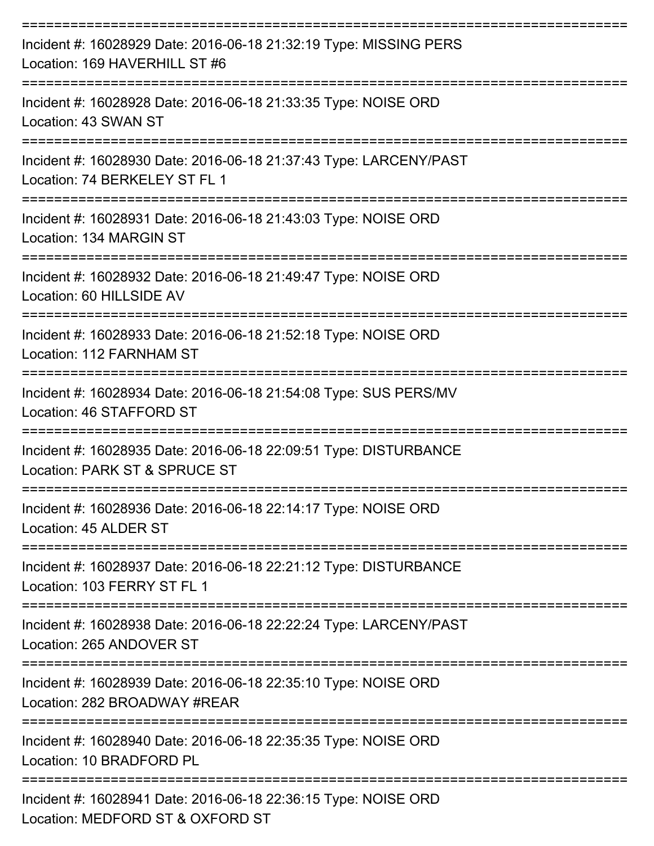| Incident #: 16028929 Date: 2016-06-18 21:32:19 Type: MISSING PERS<br>Location: 169 HAVERHILL ST #6 |
|----------------------------------------------------------------------------------------------------|
| Incident #: 16028928 Date: 2016-06-18 21:33:35 Type: NOISE ORD<br>Location: 43 SWAN ST             |
| Incident #: 16028930 Date: 2016-06-18 21:37:43 Type: LARCENY/PAST<br>Location: 74 BERKELEY ST FL 1 |
| Incident #: 16028931 Date: 2016-06-18 21:43:03 Type: NOISE ORD<br>Location: 134 MARGIN ST          |
| Incident #: 16028932 Date: 2016-06-18 21:49:47 Type: NOISE ORD<br>Location: 60 HILLSIDE AV         |
| Incident #: 16028933 Date: 2016-06-18 21:52:18 Type: NOISE ORD<br>Location: 112 FARNHAM ST         |
| Incident #: 16028934 Date: 2016-06-18 21:54:08 Type: SUS PERS/MV<br>Location: 46 STAFFORD ST       |
| Incident #: 16028935 Date: 2016-06-18 22:09:51 Type: DISTURBANCE<br>Location: PARK ST & SPRUCE ST  |
| Incident #: 16028936 Date: 2016-06-18 22:14:17 Type: NOISE ORD<br>Location: 45 ALDER ST            |
| Incident #: 16028937 Date: 2016-06-18 22:21:12 Type: DISTURBANCE<br>Location: 103 FERRY ST FL 1    |
| Incident #: 16028938 Date: 2016-06-18 22:22:24 Type: LARCENY/PAST<br>Location: 265 ANDOVER ST      |
| Incident #: 16028939 Date: 2016-06-18 22:35:10 Type: NOISE ORD<br>Location: 282 BROADWAY #REAR     |
| Incident #: 16028940 Date: 2016-06-18 22:35:35 Type: NOISE ORD<br>Location: 10 BRADFORD PL         |
| Incident #: 16028941 Date: 2016-06-18 22:36:15 Type: NOISE ORD<br>Location: MEDEOPD ST & OVEOPD ST |

Location: MEDFORD ST & OXFORD ST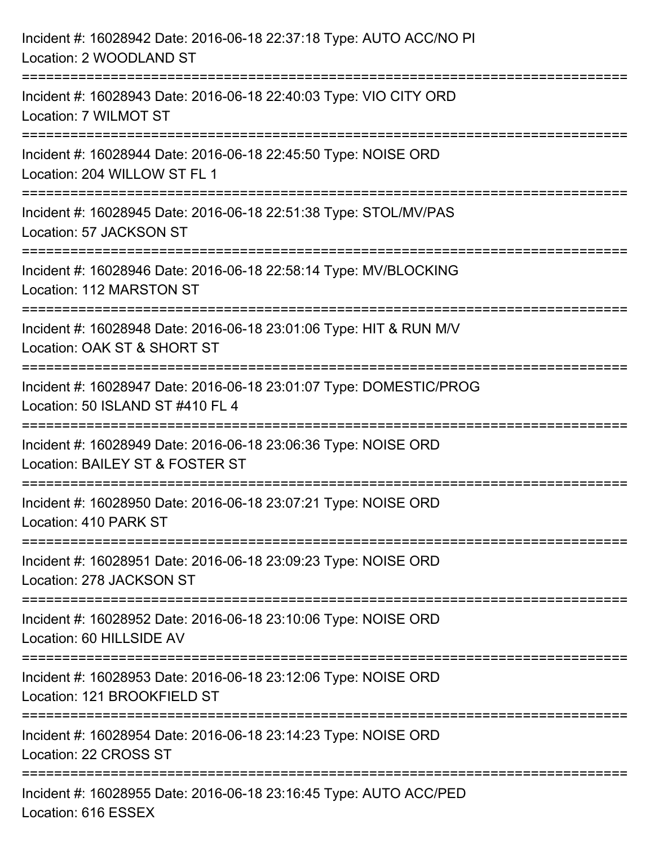| Incident #: 16028942 Date: 2016-06-18 22:37:18 Type: AUTO ACC/NO PI<br>Location: 2 WOODLAND ST                                                                                |
|-------------------------------------------------------------------------------------------------------------------------------------------------------------------------------|
| =====================================<br>Incident #: 16028943 Date: 2016-06-18 22:40:03 Type: VIO CITY ORD<br>Location: 7 WILMOT ST<br>====================================== |
| Incident #: 16028944 Date: 2016-06-18 22:45:50 Type: NOISE ORD<br>Location: 204 WILLOW ST FL 1                                                                                |
| Incident #: 16028945 Date: 2016-06-18 22:51:38 Type: STOL/MV/PAS<br>Location: 57 JACKSON ST                                                                                   |
| Incident #: 16028946 Date: 2016-06-18 22:58:14 Type: MV/BLOCKING<br>Location: 112 MARSTON ST                                                                                  |
| Incident #: 16028948 Date: 2016-06-18 23:01:06 Type: HIT & RUN M/V<br>Location: OAK ST & SHORT ST                                                                             |
| .=====================<br>Incident #: 16028947 Date: 2016-06-18 23:01:07 Type: DOMESTIC/PROG<br>Location: 50 ISLAND ST #410 FL 4                                              |
| Incident #: 16028949 Date: 2016-06-18 23:06:36 Type: NOISE ORD<br>Location: BAILEY ST & FOSTER ST                                                                             |
| Incident #: 16028950 Date: 2016-06-18 23:07:21 Type: NOISE ORD<br>Location: 410 PARK ST                                                                                       |
| Incident #: 16028951 Date: 2016-06-18 23:09:23 Type: NOISE ORD<br>Location: 278 JACKSON ST                                                                                    |
| Incident #: 16028952 Date: 2016-06-18 23:10:06 Type: NOISE ORD<br>Location: 60 HILLSIDE AV                                                                                    |
| Incident #: 16028953 Date: 2016-06-18 23:12:06 Type: NOISE ORD<br>Location: 121 BROOKFIELD ST                                                                                 |
| Incident #: 16028954 Date: 2016-06-18 23:14:23 Type: NOISE ORD<br>Location: 22 CROSS ST                                                                                       |
| Incident #: 16028955 Date: 2016-06-18 23:16:45 Type: AUTO ACC/PED<br>Location: 616 ESSEX                                                                                      |